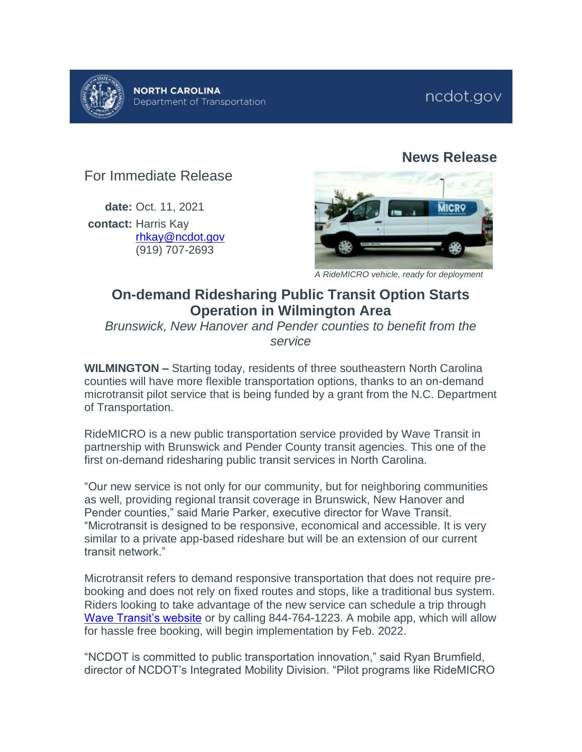

## For Immediate Release

**date:** Oct. 11, 2021 **contact:** Harris Kay [rhkay@ncdot.gov](mailto:rhkay@ncdot.gov) (919) 707-2693

## **News Release**



*A RideMICRO vehicle, ready for deployment*

## **On-demand Ridesharing Public Transit Option Starts Operation in Wilmington Area**

*Brunswick, New Hanover and Pender counties to benefit from the service*

**WILMINGTON –** Starting today, residents of three southeastern North Carolina counties will have more flexible transportation options, thanks to an on-demand microtransit pilot service that is being funded by a grant from the N.C. Department of Transportation.

RideMICRO is a new public transportation service provided by Wave Transit in partnership with Brunswick and Pender County transit agencies. This one of the first on-demand ridesharing public transit services in North Carolina.

"Our new service is not only for our community, but for neighboring communities as well, providing regional transit coverage in Brunswick, New Hanover and Pender counties," said Marie Parker, executive director for Wave Transit. "Microtransit is designed to be responsive, economical and accessible. It is very similar to a private app-based rideshare but will be an extension of our current transit network."

Microtransit refers to demand responsive transportation that does not require prebooking and does not rely on fixed routes and stops, like a traditional bus system. Riders looking to take advantage of the new service can schedule a trip through [Wave Transit's website](https://u7061146.ct.sendgrid.net/ls/click?upn=4tNED-2FM8iDZJQyQ53jATUU2tRPSGRqj1102Dp1ezrXRiAvx-2Flqopoz4Bnwid-2BO1WOOmO_UIawb6KMfwE4LtLZh-2BLwIZWR6CTl-2F8esgkwz0QLbeJBhV159akRN2huopcZSan-2BLU1-2FN9h7qhAz4VkUO6H7H1DTZ9wukzFc-2FyFfjRS6lV16kBrKwpeoW5KHxNmnW3U7mNZ0ZIwWyrD3dJxEWIcQf5878nTSCmBMFpsvBpuMGD2oS2KOHA7a-2BQJX1MHno4-2BsaH0EEAYnps1qqUCLEql6Bf5y0PGlq9yZBj64ziCjttoq7hBt9NxUe0S5x6y4aEGsSJgJGoExpMZ03L9O1qlEkE4TXS17nD5HsLGq4MfgrHWK1qCuvKkvK-2Fw6zwc8AyLuHHhldMOXtXj1B67V6rU5ZZIZFaxo86-2FqhnREg0uXtenY-3D) or by calling 844-764-1223. A mobile app, which will allow for hassle free booking, will begin implementation by Feb. 2022.

"NCDOT is committed to public transportation innovation," said Ryan Brumfield, director of NCDOT's Integrated Mobility Division. "Pilot programs like RideMICRO